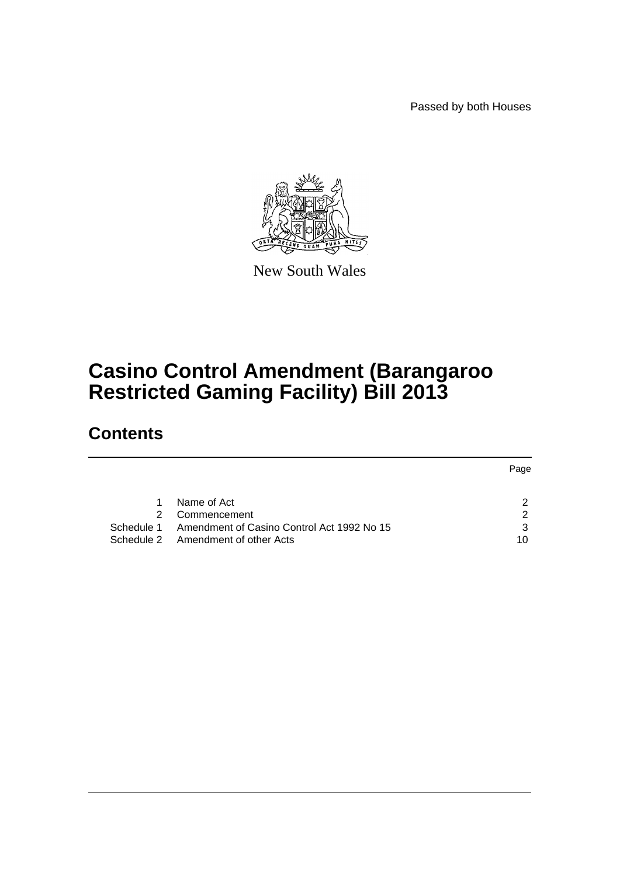Passed by both Houses



New South Wales

# **Casino Control Amendment (Barangaroo Restricted Gaming Facility) Bill 2013**

# **Contents**

|               |                                                       | Page |
|---------------|-------------------------------------------------------|------|
|               |                                                       |      |
| 1.            | Name of Act                                           |      |
| $\mathcal{P}$ | Commencement                                          | ◠    |
|               | Schedule 1 Amendment of Casino Control Act 1992 No 15 | 3    |
|               | Schedule 2 Amendment of other Acts                    | 10   |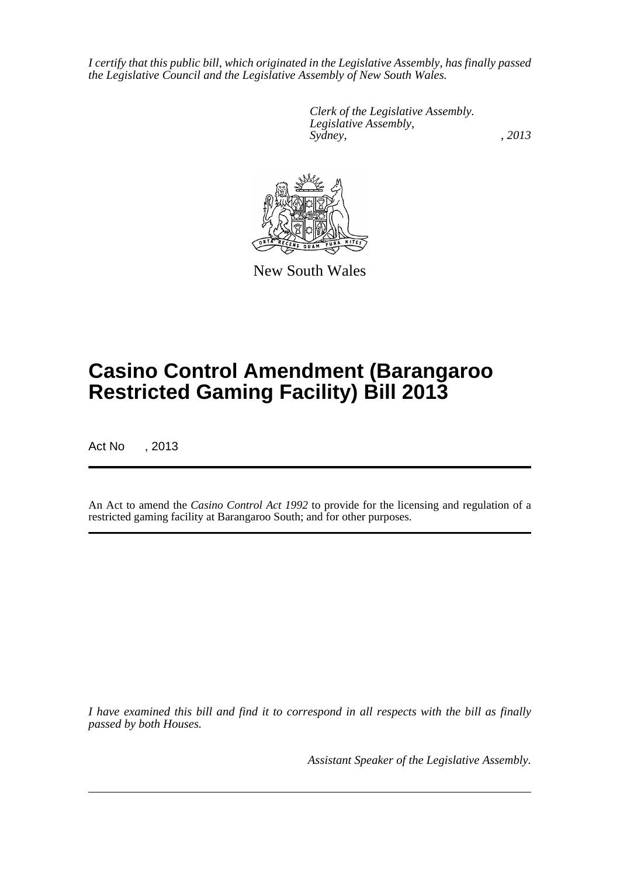*I certify that this public bill, which originated in the Legislative Assembly, has finally passed the Legislative Council and the Legislative Assembly of New South Wales.*

> *Clerk of the Legislative Assembly. Legislative Assembly, Sydney, , 2013*



New South Wales

# **Casino Control Amendment (Barangaroo Restricted Gaming Facility) Bill 2013**

Act No , 2013

An Act to amend the *Casino Control Act 1992* to provide for the licensing and regulation of a restricted gaming facility at Barangaroo South; and for other purposes.

*I have examined this bill and find it to correspond in all respects with the bill as finally passed by both Houses.*

*Assistant Speaker of the Legislative Assembly.*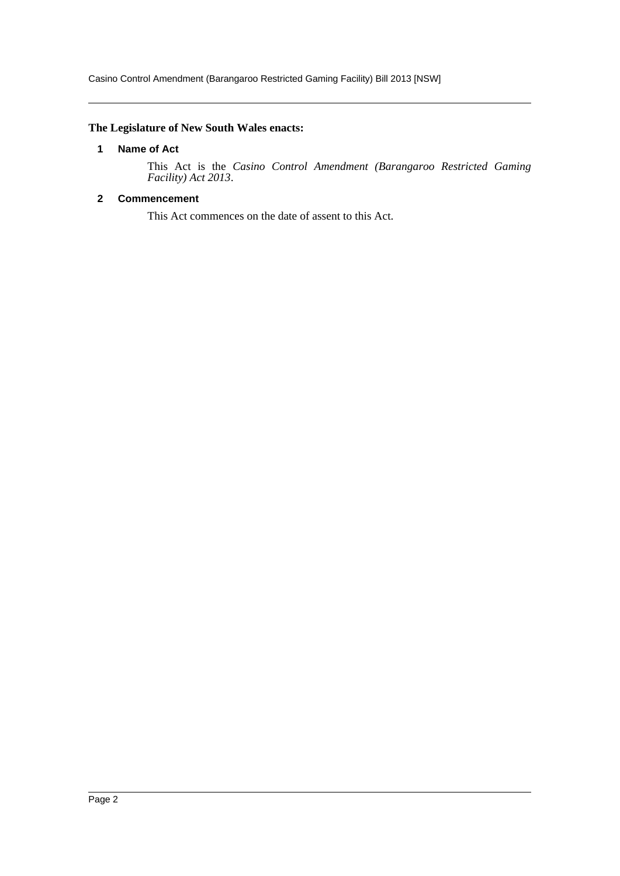Casino Control Amendment (Barangaroo Restricted Gaming Facility) Bill 2013 [NSW]

# <span id="page-2-0"></span>**The Legislature of New South Wales enacts:**

#### **1 Name of Act**

This Act is the *Casino Control Amendment (Barangaroo Restricted Gaming Facility) Act 2013*.

# <span id="page-2-1"></span>**2 Commencement**

This Act commences on the date of assent to this Act.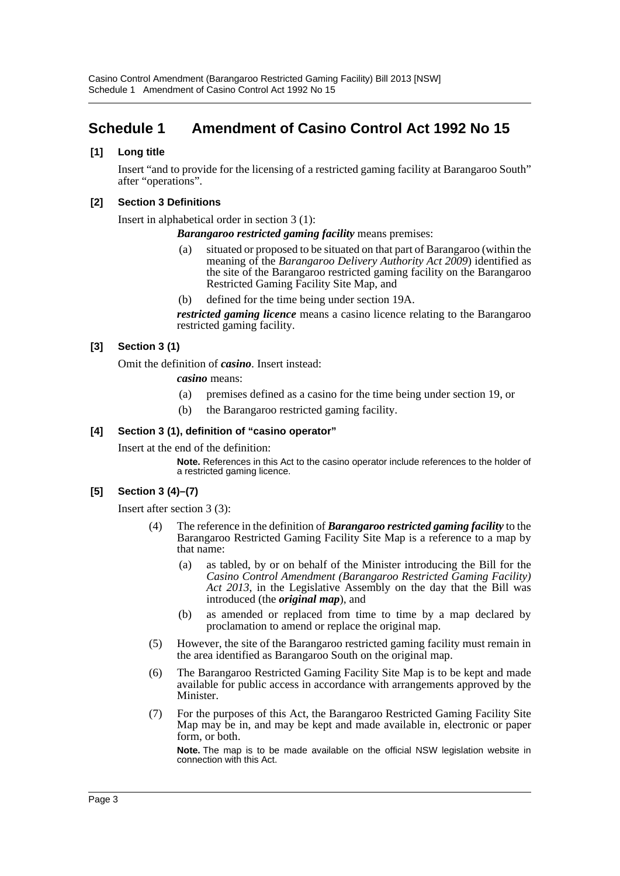# <span id="page-3-0"></span>**Schedule 1 Amendment of Casino Control Act 1992 No 15**

### **[1] Long title**

Insert "and to provide for the licensing of a restricted gaming facility at Barangaroo South" after "operations".

#### **[2] Section 3 Definitions**

Insert in alphabetical order in section 3 (1):

*Barangaroo restricted gaming facility* means premises:

- (a) situated or proposed to be situated on that part of Barangaroo (within the meaning of the *Barangaroo Delivery Authority Act 2009*) identified as the site of the Barangaroo restricted gaming facility on the Barangaroo Restricted Gaming Facility Site Map, and
- defined for the time being under section 19A.

*restricted gaming licence* means a casino licence relating to the Barangaroo restricted gaming facility.

# **[3] Section 3 (1)**

Omit the definition of *casino*. Insert instead:

*casino* means:

- (a) premises defined as a casino for the time being under section 19, or
- (b) the Barangaroo restricted gaming facility.

#### **[4] Section 3 (1), definition of "casino operator"**

Insert at the end of the definition:

**Note.** References in this Act to the casino operator include references to the holder of a restricted gaming licence.

# **[5] Section 3 (4)–(7)**

Insert after section 3 (3):

- (4) The reference in the definition of *Barangaroo restricted gaming facility* to the Barangaroo Restricted Gaming Facility Site Map is a reference to a map by that name:
	- (a) as tabled, by or on behalf of the Minister introducing the Bill for the *Casino Control Amendment (Barangaroo Restricted Gaming Facility) Act 2013*, in the Legislative Assembly on the day that the Bill was introduced (the *original map*), and
	- (b) as amended or replaced from time to time by a map declared by proclamation to amend or replace the original map.
- (5) However, the site of the Barangaroo restricted gaming facility must remain in the area identified as Barangaroo South on the original map.
- (6) The Barangaroo Restricted Gaming Facility Site Map is to be kept and made available for public access in accordance with arrangements approved by the Minister.
- (7) For the purposes of this Act, the Barangaroo Restricted Gaming Facility Site Map may be in, and may be kept and made available in, electronic or paper form, or both.

**Note.** The map is to be made available on the official NSW legislation website in connection with this Act.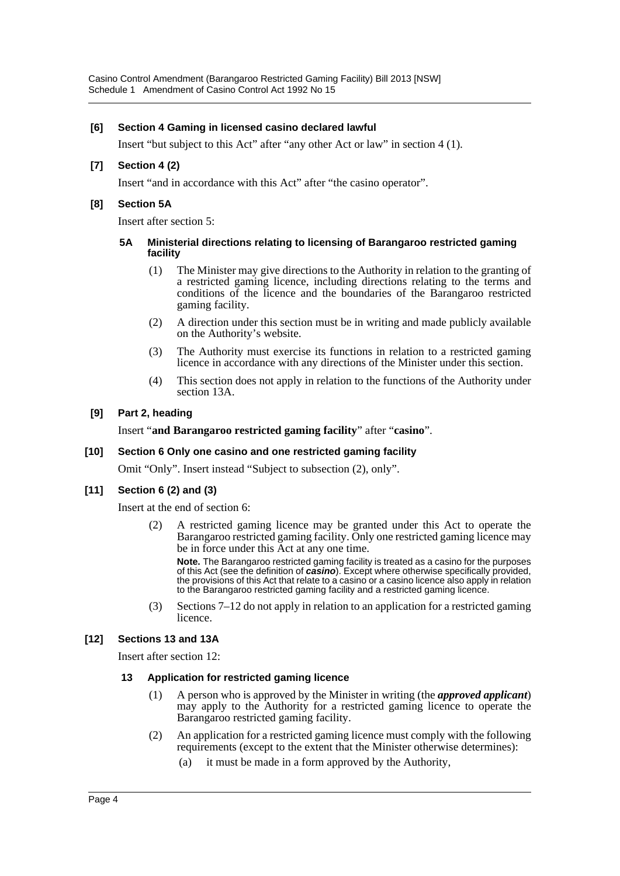#### **[6] Section 4 Gaming in licensed casino declared lawful**

Insert "but subject to this Act" after "any other Act or law" in section 4 (1).

#### **[7] Section 4 (2)**

Insert "and in accordance with this Act" after "the casino operator".

#### **[8] Section 5A**

Insert after section 5:

#### **5A Ministerial directions relating to licensing of Barangaroo restricted gaming facility**

- (1) The Minister may give directions to the Authority in relation to the granting of a restricted gaming licence, including directions relating to the terms and conditions of the licence and the boundaries of the Barangaroo restricted gaming facility.
- (2) A direction under this section must be in writing and made publicly available on the Authority's website.
- (3) The Authority must exercise its functions in relation to a restricted gaming licence in accordance with any directions of the Minister under this section.
- (4) This section does not apply in relation to the functions of the Authority under section 13A.

#### **[9] Part 2, heading**

#### Insert "**and Barangaroo restricted gaming facility**" after "**casino**".

#### **[10] Section 6 Only one casino and one restricted gaming facility**

Omit "Only". Insert instead "Subject to subsection (2), only".

# **[11] Section 6 (2) and (3)**

Insert at the end of section 6:

A restricted gaming licence may be granted under this Act to operate the Barangaroo restricted gaming facility. Only one restricted gaming licence may be in force under this Act at any one time.

**Note.** The Barangaroo restricted gaming facility is treated as a casino for the purposes of this Act (see the definition of *casino*). Except where otherwise specifically provided, the provisions of this Act that relate to a casino or a casino licence also apply in relation to the Barangaroo restricted gaming facility and a restricted gaming licence.

(3) Sections 7–12 do not apply in relation to an application for a restricted gaming licence.

# **[12] Sections 13 and 13A**

Insert after section 12:

#### **13 Application for restricted gaming licence**

- (1) A person who is approved by the Minister in writing (the *approved applicant*) may apply to the Authority for a restricted gaming licence to operate the Barangaroo restricted gaming facility.
- (2) An application for a restricted gaming licence must comply with the following requirements (except to the extent that the Minister otherwise determines):
	- (a) it must be made in a form approved by the Authority,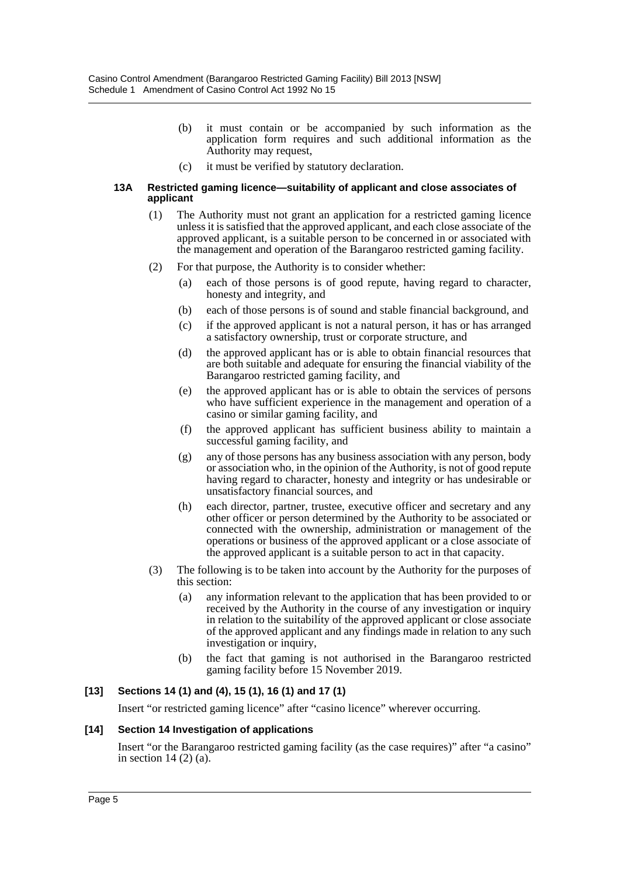- (b) it must contain or be accompanied by such information as the application form requires and such additional information as the Authority may request,
- (c) it must be verified by statutory declaration.

#### **13A Restricted gaming licence—suitability of applicant and close associates of applicant**

- (1) The Authority must not grant an application for a restricted gaming licence unless it is satisfied that the approved applicant, and each close associate of the approved applicant, is a suitable person to be concerned in or associated with the management and operation of the Barangaroo restricted gaming facility.
- (2) For that purpose, the Authority is to consider whether:
	- (a) each of those persons is of good repute, having regard to character, honesty and integrity, and
	- (b) each of those persons is of sound and stable financial background, and
	- (c) if the approved applicant is not a natural person, it has or has arranged a satisfactory ownership, trust or corporate structure, and
	- (d) the approved applicant has or is able to obtain financial resources that are both suitable and adequate for ensuring the financial viability of the Barangaroo restricted gaming facility, and
	- (e) the approved applicant has or is able to obtain the services of persons who have sufficient experience in the management and operation of a casino or similar gaming facility, and
	- (f) the approved applicant has sufficient business ability to maintain a successful gaming facility, and
	- (g) any of those persons has any business association with any person, body or association who, in the opinion of the Authority, is not of good repute having regard to character, honesty and integrity or has undesirable or unsatisfactory financial sources, and
	- (h) each director, partner, trustee, executive officer and secretary and any other officer or person determined by the Authority to be associated or connected with the ownership, administration or management of the operations or business of the approved applicant or a close associate of the approved applicant is a suitable person to act in that capacity.
- (3) The following is to be taken into account by the Authority for the purposes of this section:
	- (a) any information relevant to the application that has been provided to or received by the Authority in the course of any investigation or inquiry in relation to the suitability of the approved applicant or close associate of the approved applicant and any findings made in relation to any such investigation or inquiry,
	- (b) the fact that gaming is not authorised in the Barangaroo restricted gaming facility before 15 November 2019.

# **[13] Sections 14 (1) and (4), 15 (1), 16 (1) and 17 (1)**

Insert "or restricted gaming licence" after "casino licence" wherever occurring.

#### **[14] Section 14 Investigation of applications**

Insert "or the Barangaroo restricted gaming facility (as the case requires)" after "a casino" in section 14 (2) (a).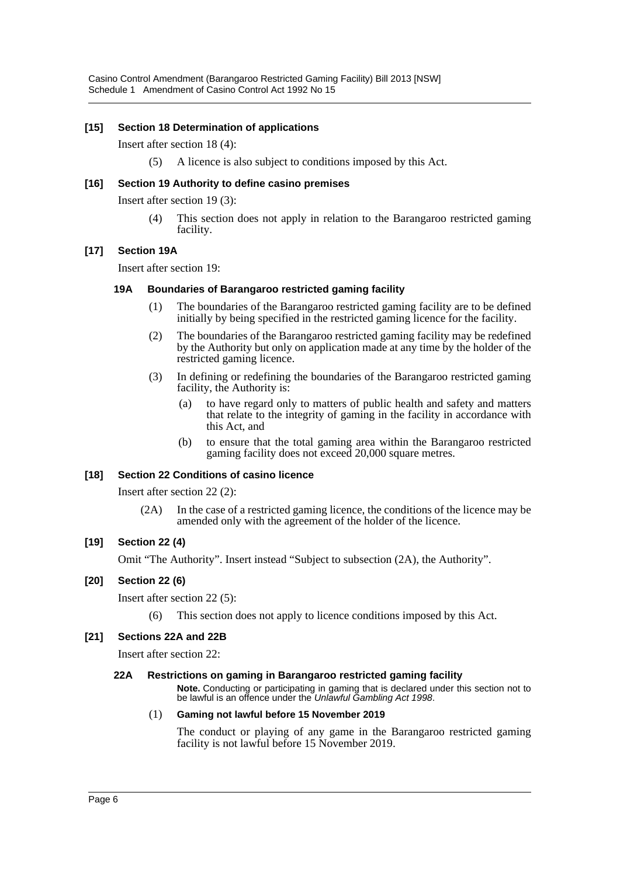#### **[15] Section 18 Determination of applications**

#### Insert after section 18 (4):

(5) A licence is also subject to conditions imposed by this Act.

#### **[16] Section 19 Authority to define casino premises**

Insert after section 19 (3):

This section does not apply in relation to the Barangaroo restricted gaming facility.

#### **[17] Section 19A**

Insert after section 19:

#### **19A Boundaries of Barangaroo restricted gaming facility**

- (1) The boundaries of the Barangaroo restricted gaming facility are to be defined initially by being specified in the restricted gaming licence for the facility.
- (2) The boundaries of the Barangaroo restricted gaming facility may be redefined by the Authority but only on application made at any time by the holder of the restricted gaming licence.
- (3) In defining or redefining the boundaries of the Barangaroo restricted gaming facility, the Authority is:
	- (a) to have regard only to matters of public health and safety and matters that relate to the integrity of gaming in the facility in accordance with this Act, and
	- (b) to ensure that the total gaming area within the Barangaroo restricted gaming facility does not exceed 20,000 square metres.

#### **[18] Section 22 Conditions of casino licence**

Insert after section 22 (2):

(2A) In the case of a restricted gaming licence, the conditions of the licence may be amended only with the agreement of the holder of the licence.

#### **[19] Section 22 (4)**

Omit "The Authority". Insert instead "Subject to subsection (2A), the Authority".

#### **[20] Section 22 (6)**

Insert after section 22 (5):

(6) This section does not apply to licence conditions imposed by this Act.

#### **[21] Sections 22A and 22B**

Insert after section 22:

#### **22A Restrictions on gaming in Barangaroo restricted gaming facility**

**Note.** Conducting or participating in gaming that is declared under this section not to be lawful is an offence under the *Unlawful Gambling Act 1998*.

#### (1) **Gaming not lawful before 15 November 2019**

The conduct or playing of any game in the Barangaroo restricted gaming facility is not lawful before 15 November 2019.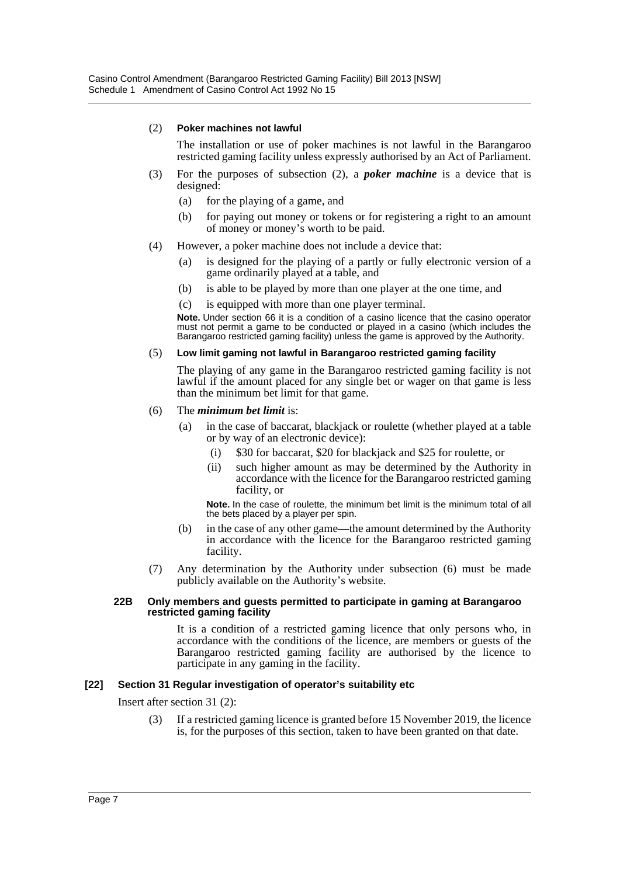#### (2) **Poker machines not lawful**

The installation or use of poker machines is not lawful in the Barangaroo restricted gaming facility unless expressly authorised by an Act of Parliament.

- (3) For the purposes of subsection (2), a *poker machine* is a device that is designed:
	- (a) for the playing of a game, and
	- (b) for paying out money or tokens or for registering a right to an amount of money or money's worth to be paid.
- (4) However, a poker machine does not include a device that:
	- (a) is designed for the playing of a partly or fully electronic version of a game ordinarily played at a table, and
	- (b) is able to be played by more than one player at the one time, and
	- (c) is equipped with more than one player terminal.

**Note.** Under section 66 it is a condition of a casino licence that the casino operator must not permit a game to be conducted or played in a casino (which includes the Barangaroo restricted gaming facility) unless the game is approved by the Authority.

#### (5) **Low limit gaming not lawful in Barangaroo restricted gaming facility**

The playing of any game in the Barangaroo restricted gaming facility is not lawful if the amount placed for any single bet or wager on that game is less than the minimum bet limit for that game.

#### (6) The *minimum bet limit* is:

- (a) in the case of baccarat, blackjack or roulette (whether played at a table or by way of an electronic device):
	- (i) \$30 for baccarat, \$20 for blackjack and \$25 for roulette, or
	- (ii) such higher amount as may be determined by the Authority in accordance with the licence for the Barangaroo restricted gaming facility, or

**Note.** In the case of roulette, the minimum bet limit is the minimum total of all the bets placed by a player per spin.

- (b) in the case of any other game—the amount determined by the Authority in accordance with the licence for the Barangaroo restricted gaming facility.
- (7) Any determination by the Authority under subsection (6) must be made publicly available on the Authority's website.

#### **22B Only members and guests permitted to participate in gaming at Barangaroo restricted gaming facility**

It is a condition of a restricted gaming licence that only persons who, in accordance with the conditions of the licence, are members or guests of the Barangaroo restricted gaming facility are authorised by the licence to participate in any gaming in the facility.

#### **[22] Section 31 Regular investigation of operator's suitability etc**

Insert after section 31 (2):

(3) If a restricted gaming licence is granted before 15 November 2019, the licence is, for the purposes of this section, taken to have been granted on that date.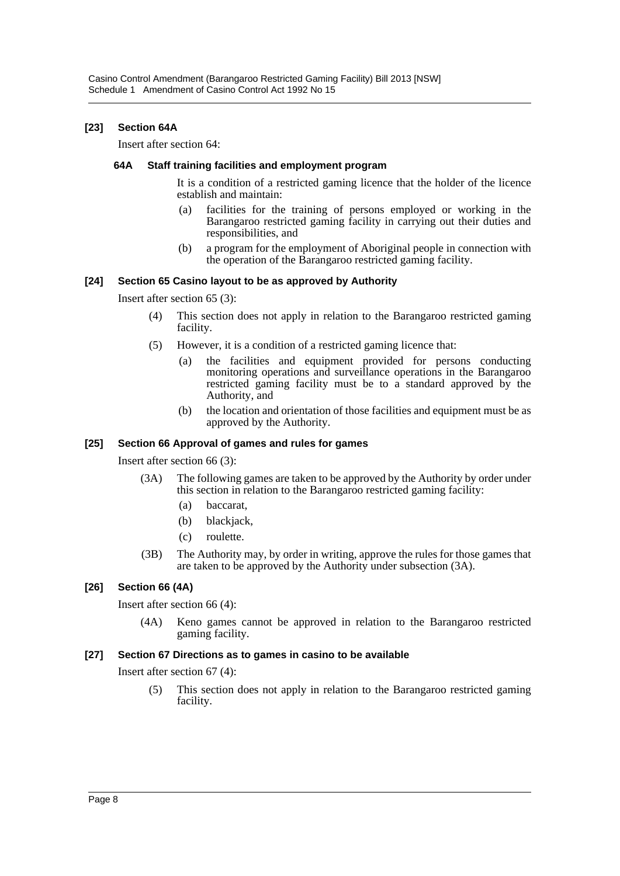### **[23] Section 64A**

Insert after section 64:

#### **64A Staff training facilities and employment program**

It is a condition of a restricted gaming licence that the holder of the licence establish and maintain:

- (a) facilities for the training of persons employed or working in the Barangaroo restricted gaming facility in carrying out their duties and responsibilities, and
- (b) a program for the employment of Aboriginal people in connection with the operation of the Barangaroo restricted gaming facility.

#### **[24] Section 65 Casino layout to be as approved by Authority**

Insert after section 65 (3):

- (4) This section does not apply in relation to the Barangaroo restricted gaming facility.
- (5) However, it is a condition of a restricted gaming licence that:
	- (a) the facilities and equipment provided for persons conducting monitoring operations and surveillance operations in the Barangaroo restricted gaming facility must be to a standard approved by the Authority, and
	- (b) the location and orientation of those facilities and equipment must be as approved by the Authority.

#### **[25] Section 66 Approval of games and rules for games**

Insert after section 66 (3):

- (3A) The following games are taken to be approved by the Authority by order under this section in relation to the Barangaroo restricted gaming facility:
	- (a) baccarat,
	- (b) blackjack,
	- (c) roulette.
- (3B) The Authority may, by order in writing, approve the rules for those games that are taken to be approved by the Authority under subsection (3A).

#### **[26] Section 66 (4A)**

Insert after section 66 (4):

(4A) Keno games cannot be approved in relation to the Barangaroo restricted gaming facility.

#### **[27] Section 67 Directions as to games in casino to be available**

Insert after section 67 (4):

(5) This section does not apply in relation to the Barangaroo restricted gaming facility.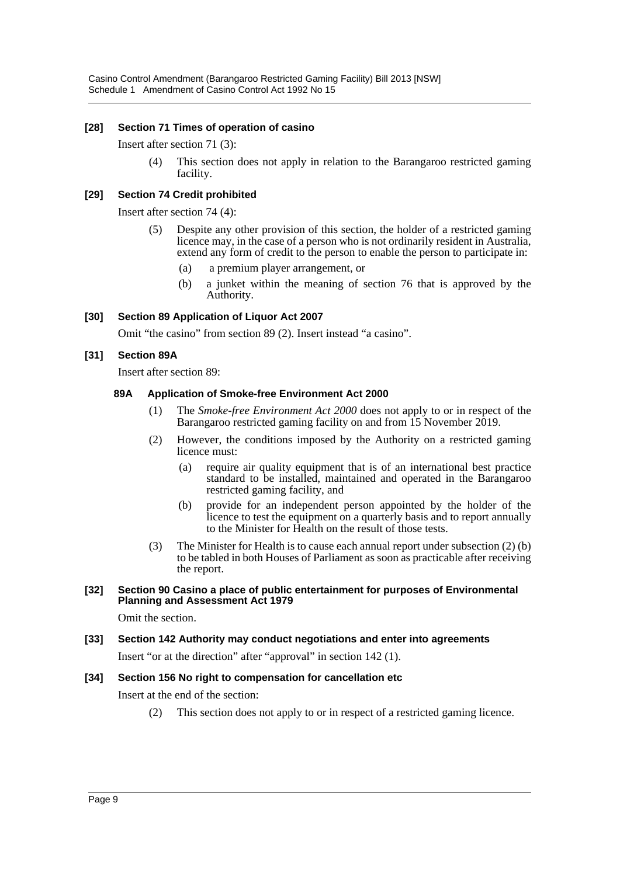#### **[28] Section 71 Times of operation of casino**

Insert after section 71 (3):

(4) This section does not apply in relation to the Barangaroo restricted gaming facility.

#### **[29] Section 74 Credit prohibited**

Insert after section 74 (4):

- (5) Despite any other provision of this section, the holder of a restricted gaming licence may, in the case of a person who is not ordinarily resident in Australia, extend any form of credit to the person to enable the person to participate in:
	- (a) a premium player arrangement, or
	- (b) a junket within the meaning of section 76 that is approved by the Authority.

#### **[30] Section 89 Application of Liquor Act 2007**

Omit "the casino" from section 89 (2). Insert instead "a casino".

#### **[31] Section 89A**

Insert after section 89:

#### **89A Application of Smoke-free Environment Act 2000**

- (1) The *Smoke-free Environment Act 2000* does not apply to or in respect of the Barangaroo restricted gaming facility on and from 15 November 2019.
- (2) However, the conditions imposed by the Authority on a restricted gaming licence must:
	- (a) require air quality equipment that is of an international best practice standard to be installed, maintained and operated in the Barangaroo restricted gaming facility, and
	- (b) provide for an independent person appointed by the holder of the licence to test the equipment on a quarterly basis and to report annually to the Minister for Health on the result of those tests.
- (3) The Minister for Health is to cause each annual report under subsection (2) (b) to be tabled in both Houses of Parliament as soon as practicable after receiving the report.

#### **[32] Section 90 Casino a place of public entertainment for purposes of Environmental Planning and Assessment Act 1979**

Omit the section.

**[33] Section 142 Authority may conduct negotiations and enter into agreements**

Insert "or at the direction" after "approval" in section 142 (1).

#### **[34] Section 156 No right to compensation for cancellation etc**

Insert at the end of the section:

(2) This section does not apply to or in respect of a restricted gaming licence.